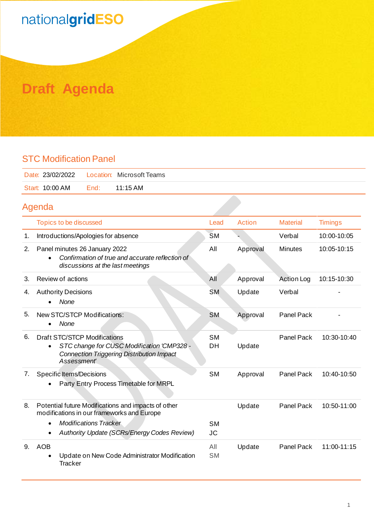# nationalgridESO

### **Draft Agenda**

#### STC Modification Panel

| Date: 23/02/2022    Location: Microsoft Teams |      |          |
|-----------------------------------------------|------|----------|
| Start: 10:00 AM                               | End: | 11:15 AM |
|                                               |      |          |

### Agenda

|    | Topics to be discussed                                                                                                                                                                        | Lead                   | Action   | <b>Material</b>   | <b>Timings</b> |
|----|-----------------------------------------------------------------------------------------------------------------------------------------------------------------------------------------------|------------------------|----------|-------------------|----------------|
| 1. | Introductions/Apologies for absence                                                                                                                                                           | <b>SM</b>              |          | Verbal            | 10:00-10:05    |
| 2. | Panel minutes 26 January 2022<br>Confirmation of true and accurate reflection of<br>discussions at the last meetings                                                                          | All                    | Approval | <b>Minutes</b>    | 10:05-10:15    |
| 3. | Review of actions                                                                                                                                                                             | All                    | Approval | <b>Action Log</b> | 10:15-10:30    |
| 4. | <b>Authority Decisions</b><br>None                                                                                                                                                            | <b>SM</b>              | Update   | Verbal            |                |
| 5. | New STC/STCP Modifications:<br>None<br>$\bullet$                                                                                                                                              | <b>SM</b>              | Approval | Panel Pack        |                |
| 6. | Draft STC/STCP Modifications<br>STC change for CUSC Modification 'CMP328 -<br>$\bullet$<br><b>Connection Triggering Distribution Impact</b><br>Assessment'                                    | <b>SM</b><br>DH        | Update   | Panel Pack        | 10:30-10:40    |
| 7. | <b>Specific Items/Decisions</b><br>Party Entry Process Timetable for MRPL                                                                                                                     | <b>SM</b>              | Approval | Panel Pack        | 10:40-10:50    |
| 8. | Potential future Modifications and impacts of other<br>modifications in our frameworks and Europe<br><b>Modifications Tracker</b><br>$\bullet$<br>Authority Update (SCRs/Energy Codes Review) | <b>SM</b><br><b>JC</b> | Update   | Panel Pack        | 10:50-11:00    |
| 9. | <b>AOB</b><br>Update on New Code Administrator Modification<br><b>Tracker</b>                                                                                                                 | All<br><b>SM</b>       | Update   | Panel Pack        | 11:00-11:15    |